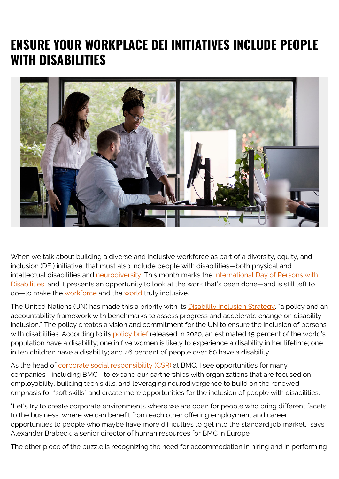## **ENSURE YOUR WORKPLACE DEI INITIATIVES INCLUDE PEOPLE WITH DISABILITIES**



When we talk about building a diverse and inclusive workforce as part of a diversity, equity, and inclusion (DEI) initiative, that must also include people with disabilities—both physical and intellectual disabilities and [neurodiversity.](https://www.neurodiversityhub.org/) This month marks the [International Day of Persons with](https://www.un.org/en/observances/day-of-persons-with-disabilities) [Disabilities,](https://www.un.org/en/observances/day-of-persons-with-disabilities) and it presents an opportunity to look at the work that's been done—and is still left to do—to make the [workforce](https://blogs.bmc.com/blogs/inclusion-is-better-for-business/) and the [world](https://blogs.bmc.com/blogs/building-a-diverse-inclusive-world/) truly inclusive.

The United Nations (UN) has made this a priority with its **Disability Inclusion Strategy**, "a policy and an accountability framework with benchmarks to assess progress and accelerate change on disability inclusion." The policy creates a vision and commitment for the UN to ensure the inclusion of persons with disabilities. According to its [policy brief](http://web.archive.org/web/20211206191529mp_/https://www.un.org/sites/un2.un.org/files/sg_policy_brief_on_persons_with_disabilities_final.pdf) released in 2020, an estimated 15 percent of the world's population have a disability; one in five women is likely to experience a disability in her lifetime; one in ten children have a disability; and 46 percent of people over 60 have a disability.

As the head of [corporate social responsibility \(CSR\)](https://blogs.bmc.com/corporate/corporate-responsibility-impact.html) at BMC. I see opportunities for many companies—including BMC—to expand our partnerships with organizations that are focused on employability, building tech skills, and leveraging neurodivergence to build on the renewed emphasis for "soft skills" and create more opportunities for the inclusion of people with disabilities.

"Let's try to create corporate environments where we are open for people who bring different facets to the business, where we can benefit from each other offering employment and career opportunities to people who maybe have more difficulties to get into the standard job market," says Alexander Brabeck, a senior director of human resources for BMC in Europe.

The other piece of the puzzle is recognizing the need for accommodation in hiring and in performing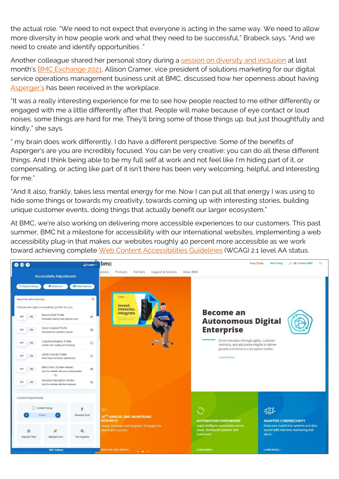the actual role. "We need to not expect that everyone is acting in the same way. We need to allow more diversity in how people work and what they need to be successful," Brabeck says. "And we need to create and identify opportunities ."

Another colleague shared her personal story during a [session on diversity and inclusion](https://www.youtube.com/watch?v=-myBzXjygGc) at last month's [BMC Exchange 2021.](https://exchange.bmc.com) Allison Cramer, vice president of solutions marketing for our digital service operations management business unit at BMC, discussed how her openness about having [Asperger's](https://www.autismspeaks.org/types-autism-what-asperger-syndrome) has been received in the workplace.

"It was a really interesting experience for me to see how people reacted to me either differently or engaged with me a little differently after that. People will make because of eye contact or loud noises. some things are hard for me. They'll bring some of those things up, but just thoughtfully and kindly," she says.

" my brain does work differently, I do have a different perspective. Some of the benefits of Asperger's are you are incredibly focused. You can be very creative; you can do all these different things. And I think being able to be my full self at work and not feel like I'm hiding part of it, or compensating, or acting like part of it isn't there has been very welcoming, helpful, and interesting for me."

"And it also, frankly, takes less mental energy for me. Now I can put all that energy I was using to hide some things or towards my creativity, towards coming up with interesting stories, building unique customer events, doing things that actually benefit our larger ecosystem."

At BMC, we're also working on delivering more accessible experiences to our customers. This past summer, BMC hit a milestone for accessibility with our international websites, implementing a web accessibility plug-in that makes our websites roughly 40 percent more accessible as we work toward achieving complete [Web Content Accessibilities Guidelines](https://www.w3.org/TR/WCAG21/) (WCAG) 2.1 level AA status.